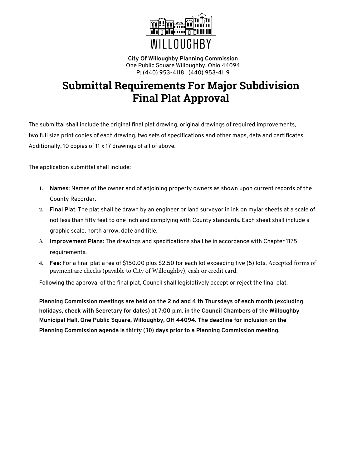

**City Of Willoughby Planning Commission** One Public Square Willoughby, Ohio 44094 P: (440) 953-4118 (440) 953-4119

## **Submittal Requirements For Major Subdivision Final Plat Approval**

The submittal shall include the original final plat drawing, original drawings of required improvements, two full size print copies of each drawing, two sets of specifications and other maps, data and certificates. Additionally, 10 copies of 11 x 17 drawings of all of above.

The application submittal shall include:

- **1. Names:** Names of the owner and of adjoining property owners as shown upon current records of the County Recorder.
- **2. Final Plat:** The plat shall be drawn by an engineer or land surveyor in ink on mylar sheets at a scale of not less than fifty feet to one inch and complying with County standards. Each sheet shall include a graphic scale, north arrow, date and title.
- **3. Improvement Plans:** The drawings and specifications shall be in accordance with Chapter 1175 requirements.
- **4. Fee:** For a final plat a fee of \$150.00 plus \$2.50 for each lot exceeding five (5) lots. Accepted forms of payment are checks (payable to City of Willoughby), cash or credit card.

Following the approval of the final plat, Council shall legislatively accept or reject the final plat.

**Planning Commission meetings are held on the 2 nd and 4 th Thursdays of each month (excluding holidays, check with Secretary for dates) at 7:00 p.m. in the Council Chambers of the Willoughby Municipal Hall, One Public Square, Willoughby, OH 44094. The deadline for inclusion on the Planning Commission agenda is thirty (30) days prior to a Planning Commission meeting.**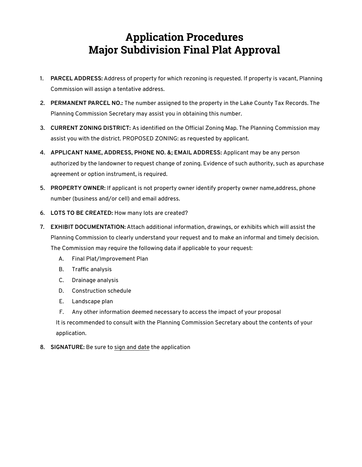## **Application Procedures Major Subdivision Final Plat Approval**

- **1. PARCEL ADDRESS:** Address of property for which rezoning is requested. If property is vacant, Planning Commission will assign a tentative address.
- **2. PERMANENT PARCEL NO.:** The number assigned to the property in the Lake County Tax Records. The Planning Commission Secretary may assist you in obtaining this number.
- **3. CURRENT ZONING DISTRICT:** As identified on the Official Zoning Map. The Planning Commission may assist you with the district. PROPOSED ZONING: as requested by applicant.
- **4. APPLICANT NAME, ADDRESS, PHONE NO. &; EMAIL ADDRESS:** Applicant may be any person authorized by the landowner to request change of zoning. Evidence of such authority, such as apurchase agreement or option instrument, is required.
- **5. PROPERTY OWNER:** If applicant is not property owner identify property owner name,address, phone number (business and/or cell) and email address.
- **6. LOTS TO BE CREATED:** How many lots are created?
- **7. EXHIBIT DOCUMENTATION:** Attach additional information, drawings, or exhibits which will assist the Planning Commission to clearly understand your request and to make an informal and timely decision. The Commission may require the following data if applicable to your request:
	- A. Final Plat/Improvement Plan
	- B. Traffic analysis
	- C. Drainage analysis
	- D. Construction schedule
	- E. Landscape plan
	- F. Any other information deemed necessary to access the impact of your proposal

It is recommended to consult with the Planning Commission Secretary about the contents of your application.

**8. SIGNATURE:** Be sure to sign and date the application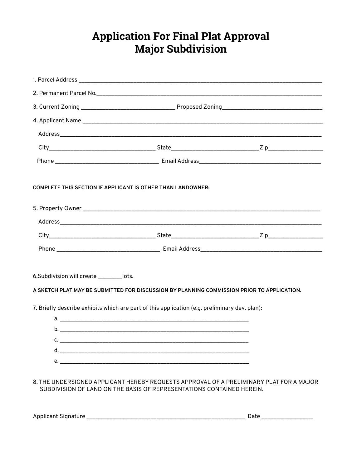## **Application For Final Plat Approval Major Subdivision**

| <b>COMPLETE THIS SECTION IF APPLICANT IS OTHER THAN LANDOWNER:</b>                                                                       |  |                                                                                         |
|------------------------------------------------------------------------------------------------------------------------------------------|--|-----------------------------------------------------------------------------------------|
|                                                                                                                                          |  |                                                                                         |
|                                                                                                                                          |  |                                                                                         |
|                                                                                                                                          |  |                                                                                         |
|                                                                                                                                          |  |                                                                                         |
| 6.Subdivision will create __________ lots.<br>A SKETCH PLAT MAY BE SUBMITTED FOR DISCUSSION BY PLANNING COMMISSION PRIOR TO APPLICATION. |  |                                                                                         |
| 7. Briefly describe exhibits which are part of this application (e.g. preliminary dev. plan):                                            |  |                                                                                         |
|                                                                                                                                          |  |                                                                                         |
|                                                                                                                                          |  |                                                                                         |
|                                                                                                                                          |  |                                                                                         |
|                                                                                                                                          |  |                                                                                         |
| SUBDIVISION OF LAND ON THE BASIS OF REPRESENTATIONS CONTAINED HEREIN.                                                                    |  | 8. THE UNDERSIGNED APPLICANT HEREBY REQUESTS APPROVAL OF A PRELIMINARY PLAT FOR A MAJOR |

Applicant Signature \_\_\_\_\_\_\_\_\_\_\_\_\_\_\_\_\_\_\_\_\_\_\_\_\_\_\_\_\_\_\_\_\_\_\_\_\_\_\_\_\_\_\_\_\_\_\_\_\_\_\_\_ Date \_\_\_\_\_\_\_\_\_\_\_\_\_\_\_\_\_